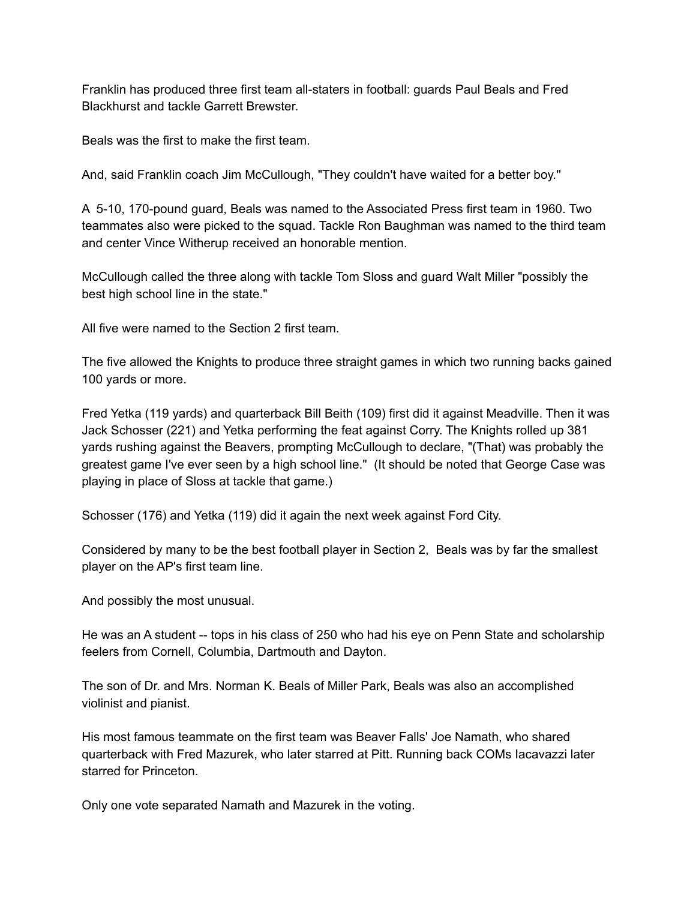Franklin has produced three first team all-staters in football: guards Paul Beals and Fred Blackhurst and tackle Garrett Brewster.

Beals was the first to make the first team.

And, said Franklin coach Jim McCullough, "They couldn't have waited for a better boy.''

A 5-10, 170-pound guard, Beals was named to the Associated Press first team in 1960. Two teammates also were picked to the squad. Tackle Ron Baughman was named to the third team and center Vince Witherup received an honorable mention.

McCullough called the three along with tackle Tom Sloss and guard Walt Miller "possibly the best high school line in the state."

All five were named to the Section 2 first team.

The five allowed the Knights to produce three straight games in which two running backs gained 100 yards or more.

Fred Yetka (119 yards) and quarterback Bill Beith (109) first did it against Meadville. Then it was Jack Schosser (221) and Yetka performing the feat against Corry. The Knights rolled up 381 yards rushing against the Beavers, prompting McCullough to declare, "(That) was probably the greatest game I've ever seen by a high school line." (It should be noted that George Case was playing in place of Sloss at tackle that game.)

Schosser (176) and Yetka (119) did it again the next week against Ford City.

Considered by many to be the best football player in Section 2, Beals was by far the smallest player on the AP's first team line.

And possibly the most unusual.

He was an A student -- tops in his class of 250 who had his eye on Penn State and scholarship feelers from Cornell, Columbia, Dartmouth and Dayton.

The son of Dr. and Mrs. Norman K. Beals of Miller Park, Beals was also an accomplished violinist and pianist.

His most famous teammate on the first team was Beaver Falls' Joe Namath, who shared quarterback with Fred Mazurek, who later starred at Pitt. Running back COMs Iacavazzi later starred for Princeton.

Only one vote separated Namath and Mazurek in the voting.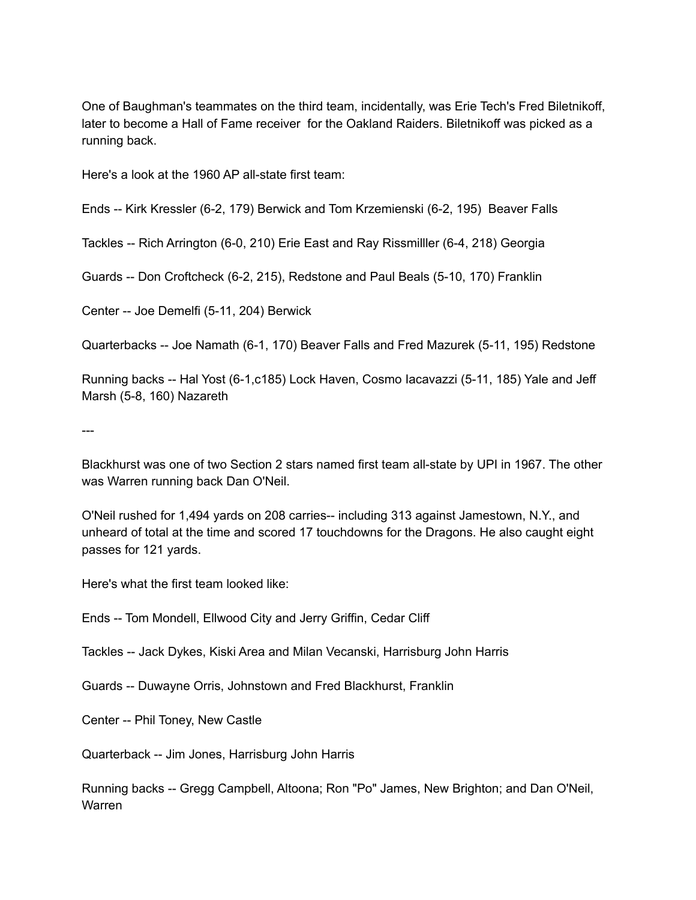One of Baughman's teammates on the third team, incidentally, was Erie Tech's Fred Biletnikoff, later to become a Hall of Fame receiver for the Oakland Raiders. Biletnikoff was picked as a running back.

Here's a look at the 1960 AP all-state first team:

Ends -- Kirk Kressler (6-2, 179) Berwick and Tom Krzemienski (6-2, 195) Beaver Falls

Tackles -- Rich Arrington (6-0, 210) Erie East and Ray Rissmilller (6-4, 218) Georgia

Guards -- Don Croftcheck (6-2, 215), Redstone and Paul Beals (5-10, 170) Franklin

Center -- Joe Demelfi (5-11, 204) Berwick

Quarterbacks -- Joe Namath (6-1, 170) Beaver Falls and Fred Mazurek (5-11, 195) Redstone

Running backs -- Hal Yost (6-1,c185) Lock Haven, Cosmo Iacavazzi (5-11, 185) Yale and Jeff Marsh (5-8, 160) Nazareth

---

Blackhurst was one of two Section 2 stars named first team all-state by UPI in 1967. The other was Warren running back Dan O'Neil.

O'Neil rushed for 1,494 yards on 208 carries-- including 313 against Jamestown, N.Y., and unheard of total at the time and scored 17 touchdowns for the Dragons. He also caught eight passes for 121 yards.

Here's what the first team looked like:

Ends -- Tom Mondell, Ellwood City and Jerry Griffin, Cedar Cliff

Tackles -- Jack Dykes, Kiski Area and Milan Vecanski, Harrisburg John Harris

Guards -- Duwayne Orris, Johnstown and Fred Blackhurst, Franklin

Center -- Phil Toney, New Castle

Quarterback -- Jim Jones, Harrisburg John Harris

Running backs -- Gregg Campbell, Altoona; Ron "Po" James, New Brighton; and Dan O'Neil, Warren